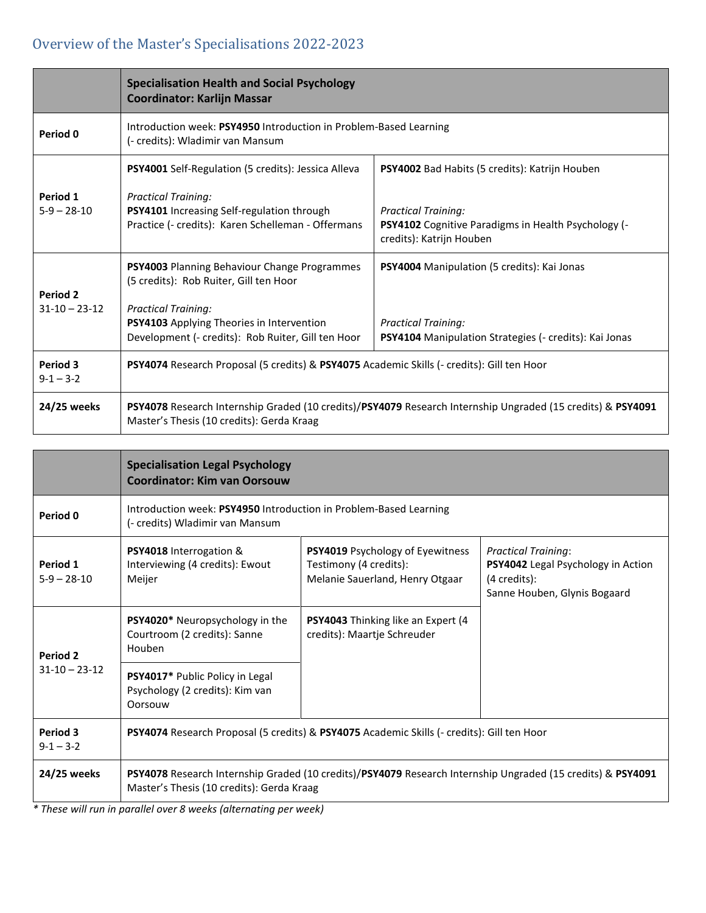## Overview of the Master's Specialisations 2022-2023

|                                            | <b>Specialisation Health and Social Psychology</b><br>Coordinator: Karlijn Massar                                                                                                                                       |                                                                                                                                                                        |  |
|--------------------------------------------|-------------------------------------------------------------------------------------------------------------------------------------------------------------------------------------------------------------------------|------------------------------------------------------------------------------------------------------------------------------------------------------------------------|--|
| Period 0                                   | Introduction week: PSY4950 Introduction in Problem-Based Learning<br>(- credits): Wladimir van Mansum                                                                                                                   |                                                                                                                                                                        |  |
| Period 1<br>$5-9 - 28-10$                  | PSY4001 Self-Regulation (5 credits): Jessica Alleva<br><b>Practical Training:</b><br>PSY4101 Increasing Self-regulation through<br>Practice (- credits): Karen Schelleman - Offermans                                   | <b>PSY4002</b> Bad Habits (5 credits): Katrijn Houben<br><b>Practical Training:</b><br>PSY4102 Cognitive Paradigms in Health Psychology (-<br>credits): Katrijn Houben |  |
| Period <sub>2</sub><br>$31 - 10 - 23 - 12$ | PSY4003 Planning Behaviour Change Programmes<br>(5 credits): Rob Ruiter, Gill ten Hoor<br><b>Practical Training:</b><br>PSY4103 Applying Theories in Intervention<br>Development (- credits): Rob Ruiter, Gill ten Hoor | PSY4004 Manipulation (5 credits): Kai Jonas<br><b>Practical Training:</b><br>PSY4104 Manipulation Strategies (- credits): Kai Jonas                                    |  |
| Period 3<br>$9 - 1 - 3 - 2$                | <b>PSY4074</b> Research Proposal (5 credits) & PSY4075 Academic Skills (- credits): Gill ten Hoor                                                                                                                       |                                                                                                                                                                        |  |
| 24/25 weeks                                | PSY4078 Research Internship Graded (10 credits)/PSY4079 Research Internship Ungraded (15 credits) & PSY4091<br>Master's Thesis (10 credits): Gerda Kraag                                                                |                                                                                                                                                                        |  |

|                                        | <b>Specialisation Legal Psychology</b><br><b>Coordinator: Kim van Oorsouw</b>                                                                                   |                                                                                               |                                                                                                                  |
|----------------------------------------|-----------------------------------------------------------------------------------------------------------------------------------------------------------------|-----------------------------------------------------------------------------------------------|------------------------------------------------------------------------------------------------------------------|
| Period 0                               | Introduction week: PSY4950 Introduction in Problem-Based Learning<br>(- credits) Wladimir van Mansum                                                            |                                                                                               |                                                                                                                  |
| Period 1<br>$5-9 - 28-10$              | <b>PSY4018</b> Interrogation &<br>Interviewing (4 credits): Ewout<br>Meijer                                                                                     | PSY4019 Psychology of Eyewitness<br>Testimony (4 credits):<br>Melanie Sauerland, Henry Otgaar | <b>Practical Training:</b><br>PSY4042 Legal Psychology in Action<br>(4 credits):<br>Sanne Houben, Glynis Bogaard |
| <b>Period 2</b><br>$31 - 10 - 23 - 12$ | PSY4020* Neuropsychology in the<br>Courtroom (2 credits): Sanne<br>Houben                                                                                       | PSY4043 Thinking like an Expert (4<br>credits): Maartje Schreuder                             |                                                                                                                  |
|                                        | PSY4017* Public Policy in Legal<br>Psychology (2 credits): Kim van<br>Oorsouw                                                                                   |                                                                                               |                                                                                                                  |
| Period 3<br>$9 - 1 - 3 - 2$            | <b>PSY4074</b> Research Proposal (5 credits) & PSY4075 Academic Skills (- credits): Gill ten Hoor                                                               |                                                                                               |                                                                                                                  |
| 24/25 weeks                            | <b>PSY4078</b> Research Internship Graded (10 credits)/PSY4079 Research Internship Ungraded (15 credits) & PSY4091<br>Master's Thesis (10 credits): Gerda Kraag |                                                                                               |                                                                                                                  |

*\* These will run in parallel over 8 weeks (alternating per week)*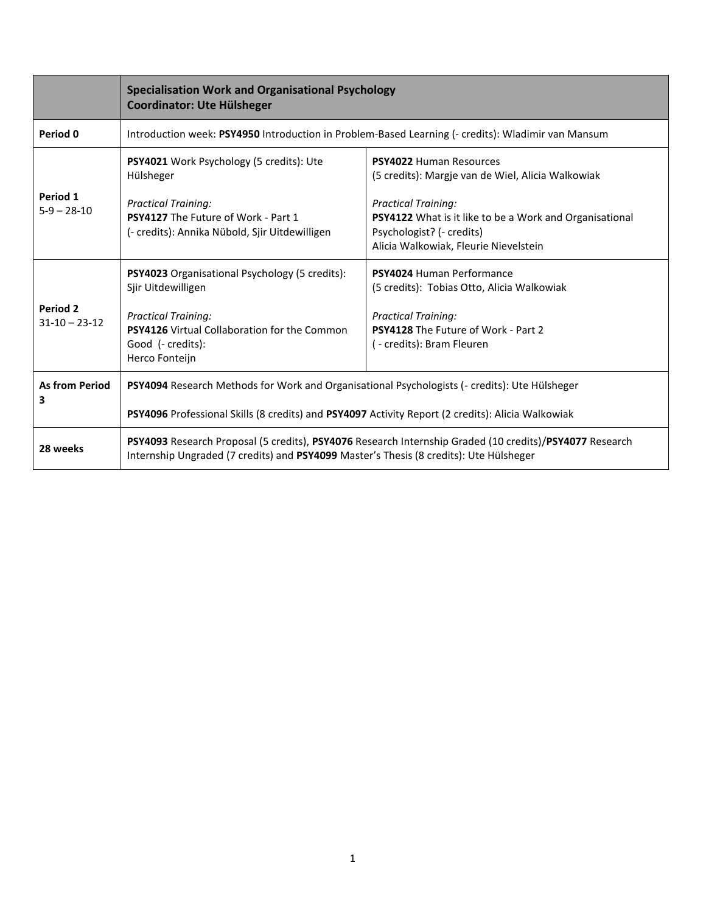|                                 | <b>Specialisation Work and Organisational Psychology</b><br><b>Coordinator: Ute Hülsheger</b>                                                                                                     |                                                                                                                                                                    |  |
|---------------------------------|---------------------------------------------------------------------------------------------------------------------------------------------------------------------------------------------------|--------------------------------------------------------------------------------------------------------------------------------------------------------------------|--|
| Period 0                        | Introduction week: PSY4950 Introduction in Problem-Based Learning (- credits): Wladimir van Mansum                                                                                                |                                                                                                                                                                    |  |
| Period 1<br>$5-9 - 28-10$       | PSY4021 Work Psychology (5 credits): Ute<br>Hülsheger                                                                                                                                             | PSY4022 Human Resources<br>(5 credits): Margie van de Wiel, Alicia Walkowiak                                                                                       |  |
|                                 | <b>Practical Training:</b><br>PSY4127 The Future of Work - Part 1<br>(- credits): Annika Nübold, Sjir Uitdewilligen                                                                               | <b>Practical Training:</b><br><b>PSY4122</b> What is it like to be a Work and Organisational<br>Psychologist? (- credits)<br>Alicia Walkowiak, Fleurie Nievelstein |  |
|                                 | <b>PSY4023</b> Organisational Psychology (5 credits):<br>Sjir Uitdewilligen                                                                                                                       | PSY4024 Human Performance<br>(5 credits): Tobias Otto, Alicia Walkowiak                                                                                            |  |
| Period 2<br>$31 - 10 - 23 - 12$ | <b>Practical Training:</b><br>PSY4126 Virtual Collaboration for the Common<br>Good (- credits):<br>Herco Fonteijn                                                                                 | <b>Practical Training:</b><br><b>PSY4128</b> The Future of Work - Part 2<br>( - credits): Bram Fleuren                                                             |  |
| <b>As from Period</b>           | PSY4094 Research Methods for Work and Organisational Psychologists (- credits): Ute Hülsheger                                                                                                     |                                                                                                                                                                    |  |
| з                               | PSY4096 Professional Skills (8 credits) and PSY4097 Activity Report (2 credits): Alicia Walkowiak                                                                                                 |                                                                                                                                                                    |  |
| 28 weeks                        | PSY4093 Research Proposal (5 credits), PSY4076 Research Internship Graded (10 credits)/PSY4077 Research<br>Internship Ungraded (7 credits) and PSY4099 Master's Thesis (8 credits): Ute Hülsheger |                                                                                                                                                                    |  |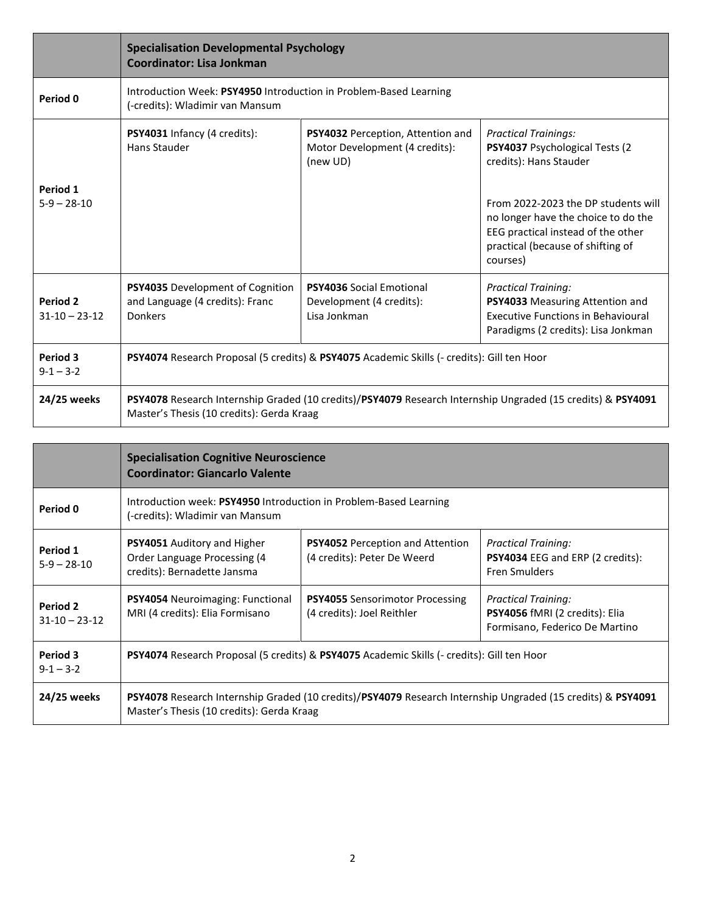|                                 | <b>Specialisation Developmental Psychology</b><br><b>Coordinator: Lisa Jonkman</b>                                                                       |                                                                                 |                                                                                                                                                                                                             |
|---------------------------------|----------------------------------------------------------------------------------------------------------------------------------------------------------|---------------------------------------------------------------------------------|-------------------------------------------------------------------------------------------------------------------------------------------------------------------------------------------------------------|
| Period 0                        | Introduction Week: PSY4950 Introduction in Problem-Based Learning<br>(-credits): Wladimir van Mansum                                                     |                                                                                 |                                                                                                                                                                                                             |
| Period 1<br>$5-9 - 28-10$       | PSY4031 Infancy (4 credits):<br>Hans Stauder                                                                                                             | PSY4032 Perception, Attention and<br>Motor Development (4 credits):<br>(new UD) | <b>Practical Trainings:</b><br>PSY4037 Psychological Tests (2<br>credits): Hans Stauder<br>From 2022-2023 the DP students will<br>no longer have the choice to do the<br>EEG practical instead of the other |
|                                 |                                                                                                                                                          |                                                                                 | practical (because of shifting of<br>courses)                                                                                                                                                               |
| Period 2<br>$31 - 10 - 23 - 12$ | <b>PSY4035</b> Development of Cognition<br>and Language (4 credits): Franc<br>Donkers                                                                    | <b>PSY4036 Social Emotional</b><br>Development (4 credits):<br>Lisa Jonkman     | <b>Practical Training:</b><br>PSY4033 Measuring Attention and<br><b>Executive Functions in Behavioural</b><br>Paradigms (2 credits): Lisa Jonkman                                                           |
| Period 3<br>$9 - 1 - 3 - 2$     | PSY4074 Research Proposal (5 credits) & PSY4075 Academic Skills (- credits): Gill ten Hoor                                                               |                                                                                 |                                                                                                                                                                                                             |
| 24/25 weeks                     | PSY4078 Research Internship Graded (10 credits)/PSY4079 Research Internship Ungraded (15 credits) & PSY4091<br>Master's Thesis (10 credits): Gerda Kraag |                                                                                 |                                                                                                                                                                                                             |

|                                 | <b>Specialisation Cognitive Neuroscience</b><br><b>Coordinator: Giancarlo Valente</b>                                                                           |                                                                        |                                                                                                |
|---------------------------------|-----------------------------------------------------------------------------------------------------------------------------------------------------------------|------------------------------------------------------------------------|------------------------------------------------------------------------------------------------|
| Period 0                        | Introduction week: PSY4950 Introduction in Problem-Based Learning<br>(-credits): Wladimir van Mansum                                                            |                                                                        |                                                                                                |
| Period 1<br>$5-9 - 28-10$       | <b>PSY4051</b> Auditory and Higher<br>Order Language Processing (4<br>credits): Bernadette Jansma                                                               | <b>PSY4052</b> Perception and Attention<br>(4 credits): Peter De Weerd | <b>Practical Training:</b><br>PSY4034 EEG and ERP (2 credits):<br><b>Fren Smulders</b>         |
| Period 2<br>$31 - 10 - 23 - 12$ | <b>PSY4054</b> Neuroimaging: Functional<br>MRI (4 credits): Elia Formisano                                                                                      | <b>PSY4055</b> Sensorimotor Processing<br>(4 credits): Joel Reithler   | <b>Practical Training:</b><br>PSY4056 fMRI (2 credits): Elia<br>Formisano, Federico De Martino |
| Period 3<br>$9 - 1 - 3 - 2$     | <b>PSY4074</b> Research Proposal (5 credits) & PSY4075 Academic Skills (- credits): Gill ten Hoor                                                               |                                                                        |                                                                                                |
| 24/25 weeks                     | <b>PSY4078</b> Research Internship Graded (10 credits)/PSY4079 Research Internship Ungraded (15 credits) & PSY4091<br>Master's Thesis (10 credits): Gerda Kraag |                                                                        |                                                                                                |